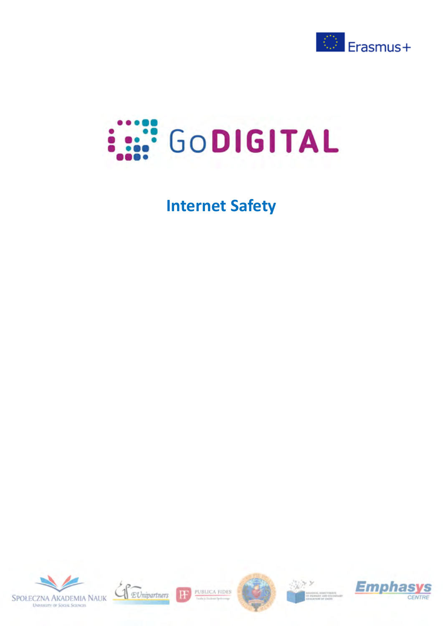



# **Internet Safety**





PUBLICA FIDES

H





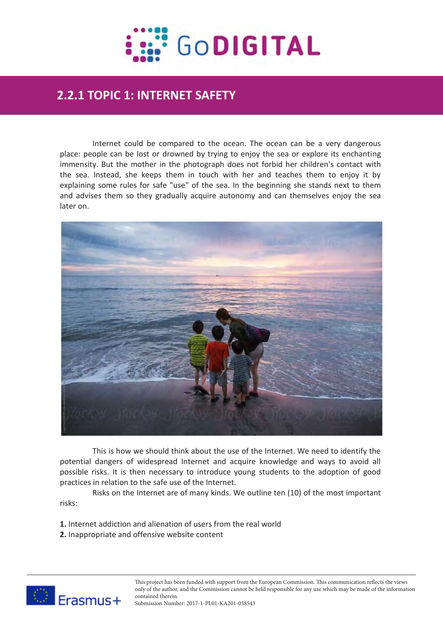

# **2.2 Expanded text**<br>2.2 Expanded texts to the set of the set of the set of the set of the set of the set of the set of the set of t **2.2.1 TOPIC 1: INTERNET SAFETY**

Internet could be compared to the ocean. The ocean can be a very dangerous place: people can be lost or drowned by trying to enjoy the sea or explore its enchanting immensity. But the mother in the photograph does not forbid her children's contact with the sea. Instead, she keeps them in touch with her and teaches them to enjoy it by explaining some rules for safe "use" of the sea. In the beginning she stands next to them and advises them so they gradually acquire autonomy and can themselves enjoy the sea later on.



This is how we should think about the use of the Internet. We need to identify the potential dangers of widespread Internet and acquire knowledge and ways to avoid all possible risks. It is then necessary to introduce young students to the adoption of good practices in relation to the safe use of the Internet.

Risks on the Internet are of many kinds. We outline ten (10) of the most important risks:

- **1.** Internet addiction and alienation of users from the real world
- **2.** Inappropriate and offensive website content



This project has been funded with support from the European Commission. This communication reflects the views only of the author, and the Commission cannot be held responsible for any use which may be made of the information contained therein.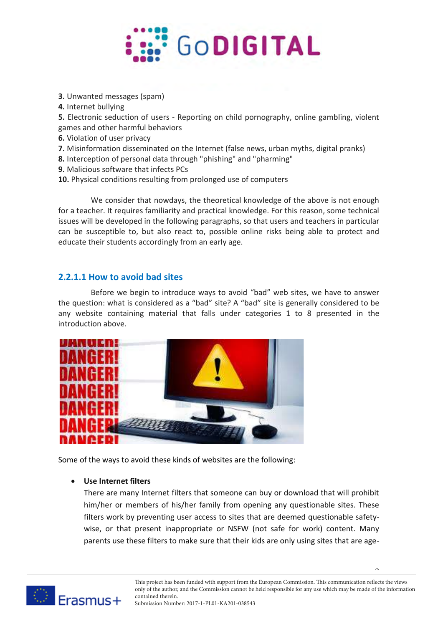

- **3.** Unwanted messages (spam)
- **4.** Internet bullying
- **5.** Electronic seduction of users Reporting on child pornography, online gambling, violent games and other harmful behaviors
- **6.** Violation of user privacy
- **7.** Misinformation disseminated on the Internet (false news, urban myths, digital pranks)
- **8.** Interception of personal data through "phishing" and "pharming"
- **9.** Malicious software that infects PCs
- **10.** Physical conditions resulting from prolonged use of computers

We consider that nowdays, the theoretical knowledge of the above is not enough for a teacher. It requires familiarity and practical knowledge. For this reason, some technical issues will be developed in the following paragraphs, so that users and teachers in particular can be susceptible to, but also react to, possible online risks being able to protect and educate their students accordingly from an early age.

## **2.2.1.1 How to avoid bad sites**

Before we begin to introduce ways to avoid "bad" web sites, we have to answer the question: what is considered as a "bad" site? A "bad" site is generally considered to be any website containing material that falls under categories 1 to 8 presented in the introduction above.



Some of the ways to avoid these kinds of websites are the following:

## **Use Internet filters**

There are many Internet filters that someone can buy or download that will prohibit him/her or members of his/her family from opening any questionable sites. These filters work by preventing user access to sites that are deemed questionable safetywise, or that present inappropriate or NSFW (not safe for work) content. Many parents use these filters to make sure that their kids are only using sites that are age-



2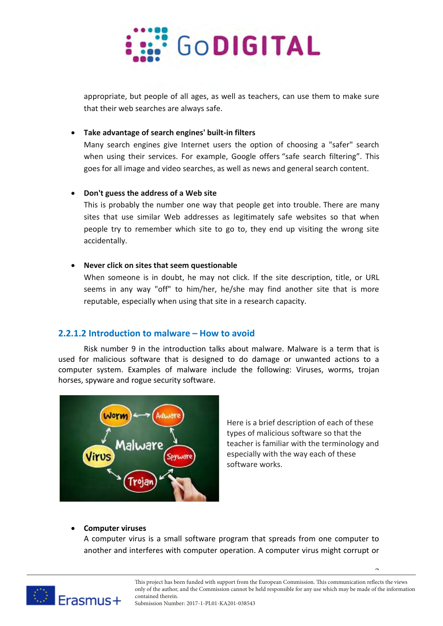

appropriate, but people of all ages, as well as teachers, can use them to make sure that their web searches are always safe.

## **Take advantage of search engines' built-in filters**

Many search engines give Internet users the option of choosing a "safer" search when using their services. For example, Google offers "safe search filtering". This goes for all image and video searches, as well as news and general search content.

## **Don't guess the address of a Web site**

This is probably the number one way that people get into trouble. There are many sites that use similar Web addresses as legitimately safe websites so that when people try to remember which site to go to, they end up visiting the wrong site accidentally.

## **Never click on sites that seem questionable**

When someone is in doubt, he may not click. If the site description, title, or URL seems in any way "off" to him/her, he/she may find another site that is more reputable, especially when using that site in a research capacity.

## **2.2.1.2 Introduction to malware – How to avoid**

Risk number 9 in the introduction talks about malware. Malware is a term that is used for malicious software that is designed to do damage or unwanted actions to a computer system. Examples of malware include the following: Viruses, worms, trojan horses, spyware and rogue security software.



Here is a brief description of each of these types of malicious software so that the teacher is familiar with the terminology and especially with the way each of these software works.

3

## **Computer viruses**

A computer virus is a small software program that spreads from one computer to another and interferes with computer operation. A computer virus might corrupt or

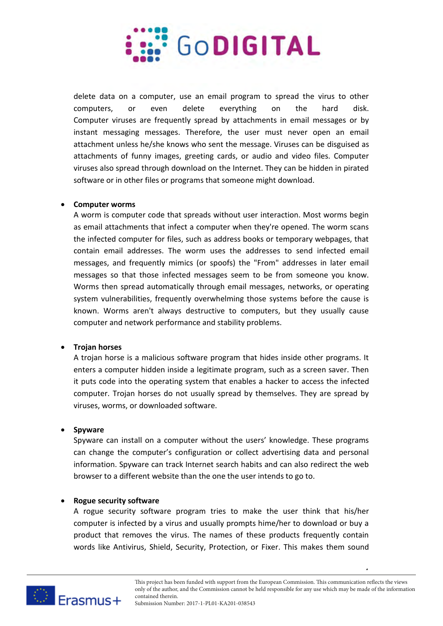

delete data on a computer, use an email program to spread the virus to other computers, or even delete everything on the hard disk. Computer viruses are frequently spread by attachments in email messages or by instant messaging messages. Therefore, the user must never open an email attachment unless he/she knows who sent the message. Viruses can be disguised as attachments of funny images, greeting cards, or audio and video files. Computer viruses also spread through download on the Internet. They can be hidden in pirated software or in other files or programs that someone might download.

#### **Computer worms**

A worm is computer code that spreads without user interaction. Most worms begin as email attachments that infect a computer when they're opened. The worm scans the infected computer for files, such as address books or temporary webpages, that contain email addresses. The worm uses the addresses to send infected email messages, and frequently mimics (or spoofs) the "From" addresses in later email messages so that those infected messages seem to be from someone you know. Worms then spread automatically through email messages, networks, or operating system vulnerabilities, frequently overwhelming those systems before the cause is known. Worms aren't always destructive to computers, but they usually cause computer and network performance and stability problems.

## **Trojan horses**

A trojan horse is a malicious software program that hides inside other programs. It enters a computer hidden inside a legitimate program, such as a screen saver. Then it puts code into the operating system that enables a hacker to access the infected computer. Trojan horses do not usually spread by themselves. They are spread by viruses, worms, or downloaded software.

## **Spyware**

Spyware can install on a computer without the users' knowledge. These programs can change the computer's configuration or collect advertising data and personal information. Spyware can track Internet search habits and can also redirect the web browser to a different website than the one the user intends to go to.

#### **Rogue security software**

A rogue security software program tries to make the user think that his/her computer is infected by a virus and usually prompts hime/her to download or buy a product that removes the virus. The names of these products frequently contain words like Antivirus, Shield, Security, Protection, or Fixer. This makes them sound

 $\tilde{z}$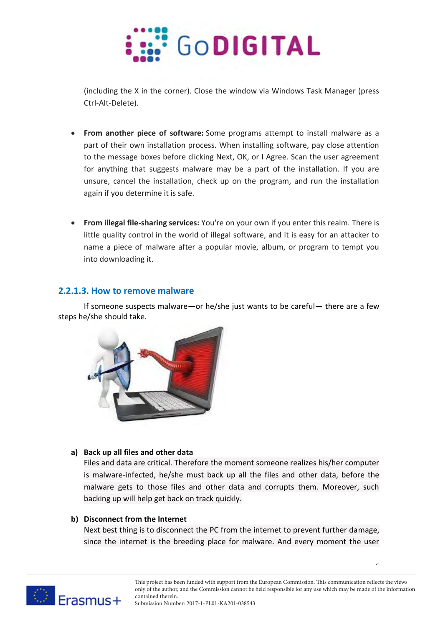

(including the X in the corner). Close the window via Windows Task Manager (press Ctrl-Alt-Delete).

- **From another piece of software:** Some programs attempt to install malware as a part of their own installation process. When installing software, pay close attention to the message boxes before clicking Next, OK, or I Agree. Scan the user agreement for anything that suggests malware may be a part of the installation. If you are unsure, cancel the installation, check up on the program, and run the installation again if you determine it is safe.
- **From illegal file-sharing services:** You're on your own if you enter this realm. There is little quality control in the world of illegal software, and it is easy for an attacker to name a piece of malware after a popular movie, album, or program to tempt you into downloading it.

## **2.2.1.3. How to remove malware**

If someone suspects malware—or he/she just wants to be careful— there are a few steps he/she should take.



## **a) Back up all files and other data**

Files and data are critical. Therefore the moment someone realizes his/her computer is malware-infected, he/she must back up all the files and other data, before the malware gets to those files and other data and corrupts them. Moreover, such backing up will help get back on track quickly.

## **b) Disconnect from the Internet**

Next best thing is to disconnect the PC from the internet to prevent further damage, since the internet is the breeding place for malware. And every moment the user

6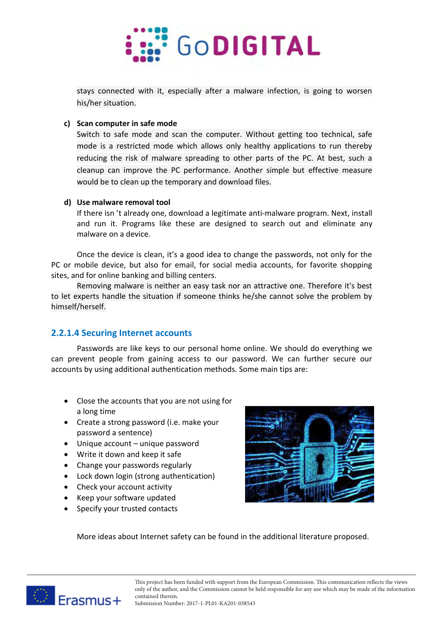

stays connected with it, especially after a malware infection, is going to worsen his/her situation.

#### **c) Scan computer in safe mode**

Switch to safe mode and scan the computer. Without getting too technical, safe mode is a restricted mode which allows only healthy applications to run thereby reducing the risk of malware spreading to other parts of the PC. At best, such a cleanup can improve the PC performance. Another simple but effective measure would be to clean up the temporary and download files.

#### **d) Use malware removal tool**

If there isn 't already one, download a legitimate anti-malware program. Next, install and run it. Programs like these are designed to search out and eliminate any malware on a device.

Once the device is clean, it's a good idea to change the passwords, not only for the PC or mobile device, but also for email, for social media accounts, for favorite shopping sites, and for online banking and billing centers.

Removing malware is neither an easy task nor an attractive one. Therefore it's best to let experts handle the situation if someone thinks he/she cannot solve the problem by himself/herself.

## **2.2.1.4 Securing Internet accounts**

Passwords are like keys to our personal home online. We should do everything we can prevent people from gaining access to our password. We can further secure our accounts by using additional authentication methods. Some main tips are:

- Close the accounts that you are not using for a long time
- Create a strong password (i.e. make your password a sentence)
- Unique account unique password
- Write it down and keep it safe
- Change your passwords regularly
- Lock down login (strong authentication)
- Check your account activity
- Keep your software updated
- Specify your trusted contacts



More ideas about Internet safety can be found in the additional literature proposed.